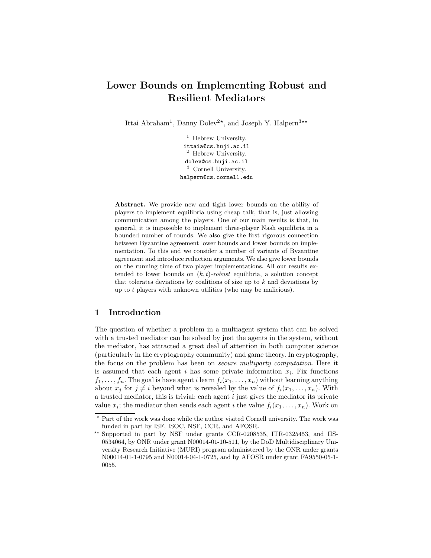# Lower Bounds on Implementing Robust and Resilient Mediators

Ittai Abraham<sup>1</sup>, Danny Dolev<sup>2\*</sup>, and Joseph Y. Halpern<sup>3\*\*</sup>

<sup>1</sup> Hebrew University. ittaia@cs.huji.ac.il <sup>2</sup> Hebrew University. dolev@cs.huji.ac.il <sup>3</sup> Cornell University. halpern@cs.cornell.edu

Abstract. We provide new and tight lower bounds on the ability of players to implement equilibria using cheap talk, that is, just allowing communication among the players. One of our main results is that, in general, it is impossible to implement three-player Nash equilibria in a bounded number of rounds. We also give the first rigorous connection between Byzantine agreement lower bounds and lower bounds on implementation. To this end we consider a number of variants of Byzantine agreement and introduce reduction arguments. We also give lower bounds on the running time of two player implementations. All our results extended to lower bounds on  $(k, t)$ -robust equilibria, a solution concept that tolerates deviations by coalitions of size up to  $k$  and deviations by up to  $t$  players with unknown utilities (who may be malicious).

# 1 Introduction

The question of whether a problem in a multiagent system that can be solved with a trusted mediator can be solved by just the agents in the system, without the mediator, has attracted a great deal of attention in both computer science (particularly in the cryptography community) and game theory. In cryptography, the focus on the problem has been on secure multiparty computation. Here it is assumed that each agent i has some private information  $x_i$ . Fix functions  $f_1, \ldots, f_n$ . The goal is have agent i learn  $f_i(x_1, \ldots, x_n)$  without learning anything about  $x_i$  for  $j \neq i$  beyond what is revealed by the value of  $f_i(x_1, \ldots, x_n)$ . With a trusted mediator, this is trivial: each agent i just gives the mediator its private value  $x_i$ ; the mediator then sends each agent i the value  $f_i(x_1, \ldots, x_n)$ . Work on

<sup>?</sup> Part of the work was done while the author visited Cornell university. The work was funded in part by ISF, ISOC, NSF, CCR, and AFOSR.

<sup>\*\*</sup> Supported in part by NSF under grants CCR-0208535, ITR-0325453, and IIS-0534064, by ONR under grant N00014-01-10-511, by the DoD Multidisciplinary University Research Initiative (MURI) program administered by the ONR under grants N00014-01-1-0795 and N00014-04-1-0725, and by AFOSR under grant FA9550-05-1- 0055.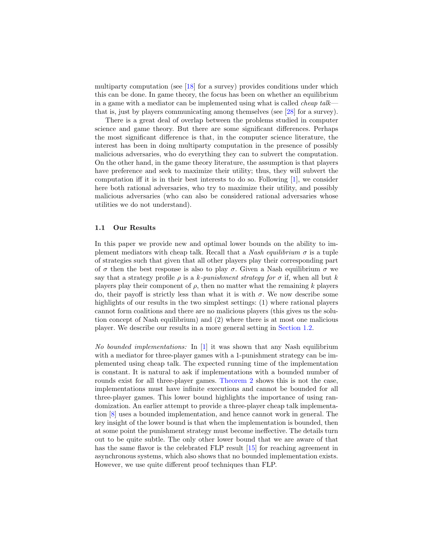multiparty computation (see [\[18\]](#page-17-0) for a survey) provides conditions under which this can be done. In game theory, the focus has been on whether an equilibrium in a game with a mediator can be implemented using what is called *cheap talk*that is, just by players communicating among themselves (see [\[28\]](#page-17-1) for a survey).

There is a great deal of overlap between the problems studied in computer science and game theory. But there are some significant differences. Perhaps the most significant difference is that, in the computer science literature, the interest has been in doing multiparty computation in the presence of possibly malicious adversaries, who do everything they can to subvert the computation. On the other hand, in the game theory literature, the assumption is that players have preference and seek to maximize their utility; thus, they will subvert the computation iff it is in their best interests to do so. Following [\[1\]](#page-16-0), we consider here both rational adversaries, who try to maximize their utility, and possibly malicious adversaries (who can also be considered rational adversaries whose utilities we do not understand).

## <span id="page-1-0"></span>1.1 Our Results

In this paper we provide new and optimal lower bounds on the ability to implement mediators with cheap talk. Recall that a *Nash equilibrium*  $\sigma$  is a tuple of strategies such that given that all other players play their corresponding part of  $\sigma$  then the best response is also to play  $\sigma$ . Given a Nash equilibrium  $\sigma$  we say that a strategy profile  $\rho$  is a k-punishment strategy for  $\sigma$  if, when all but k players play their component of  $\rho$ , then no matter what the remaining k players do, their payoff is strictly less than what it is with  $\sigma$ . We now describe some highlights of our results in the two simplest settings: (1) where rational players cannot form coalitions and there are no malicious players (this gives us the solution concept of Nash equilibrium) and (2) where there is at most one malicious player. We describe our results in a more general setting in [Section 1.2.](#page-3-0)

No bounded implementations: In  $[1]$  it was shown that any Nash equilibrium with a mediator for three-player games with a 1-punishment strategy can be implemented using cheap talk. The expected running time of the implementation is constant. It is natural to ask if implementations with a bounded number of rounds exist for all three-player games. [Theorem 2](#page-11-0) shows this is not the case, implementations must have infinite executions and cannot be bounded for all three-player games. This lower bound highlights the importance of using randomization. An earlier attempt to provide a three-player cheap talk implementation [\[8\]](#page-16-1) uses a bounded implementation, and hence cannot work in general. The key insight of the lower bound is that when the implementation is bounded, then at some point the punishment strategy must become ineffective. The details turn out to be quite subtle. The only other lower bound that we are aware of that has the same flavor is the celebrated FLP result [\[15\]](#page-17-2) for reaching agreement in asynchronous systems, which also shows that no bounded implementation exists. However, we use quite different proof techniques than FLP.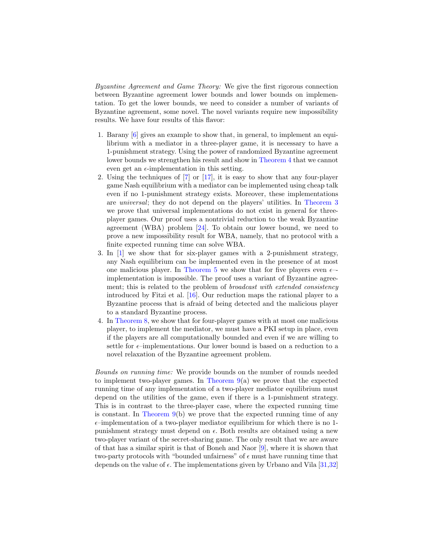Byzantine Agreement and Game Theory: We give the first rigorous connection between Byzantine agreement lower bounds and lower bounds on implementation. To get the lower bounds, we need to consider a number of variants of Byzantine agreement, some novel. The novel variants require new impossibility results. We have four results of this flavor:

- 1. Barany [\[6\]](#page-16-2) gives an example to show that, in general, to implement an equilibrium with a mediator in a three-player game, it is necessary to have a 1-punishment strategy. Using the power of randomized Byzantine agreement lower bounds we strengthen his result and show in [Theorem 4](#page-14-0) that we cannot even get an  $\epsilon$ -implementation in this setting.
- 2. Using the techniques of [\[7\]](#page-16-3) or [\[17\]](#page-17-3), it is easy to show that any four-player game Nash equilibrium with a mediator can be implemented using cheap talk even if no 1-punishment strategy exists. Moreover, these implementations are universal; they do not depend on the players' utilities. In [Theorem 3](#page-14-1) we prove that universal implementations do not exist in general for threeplayer games. Our proof uses a nontrivial reduction to the weak Byzantine agreement (WBA) problem [\[24\]](#page-17-4). To obtain our lower bound, we need to prove a new impossibility result for WBA, namely, that no protocol with a finite expected running time can solve WBA.
- 3. In [\[1\]](#page-16-0) we show that for six-player games with a 2-punishment strategy, any Nash equilibrium can be implemented even in the presence of at most one malicious player. In [Theorem 5](#page-14-2) we show that for five players even  $\epsilon$ implementation is impossible. The proof uses a variant of Byzantine agreement; this is related to the problem of *broadcast with extended consistency* introduced by Fitzi et al. [\[16\]](#page-17-5). Our reduction maps the rational player to a Byzantine process that is afraid of being detected and the malicious player to a standard Byzantine process.
- 4. In [Theorem 8,](#page-15-0) we show that for four-player games with at most one malicious player, to implement the mediator, we must have a PKI setup in place, even if the players are all computationally bounded and even if we are willing to settle for  $\epsilon$ -implementations. Our lower bound is based on a reduction to a novel relaxation of the Byzantine agreement problem.

Bounds on running time: We provide bounds on the number of rounds needed to implement two-player games. In Theorem  $9(a)$  we prove that the expected running time of any implementation of a two-player mediator equilibrium must depend on the utilities of the game, even if there is a 1-punishment strategy. This is in contrast to the three-player case, where the expected running time is constant. In Theorem  $9(b)$  we prove that the expected running time of any  $\epsilon$ -implementation of a two-player mediator equilibrium for which there is no 1punishment strategy must depend on  $\epsilon$ . Both results are obtained using a new two-player variant of the secret-sharing game. The only result that we are aware of that has a similar spirit is that of Boneh and Naor [\[9\]](#page-16-4), where it is shown that two-party protocols with "bounded unfairness" of  $\epsilon$  must have running time that depends on the value of  $\epsilon$ . The implementations given by Urbano and Vila [\[31,](#page-17-6)[32\]](#page-17-7)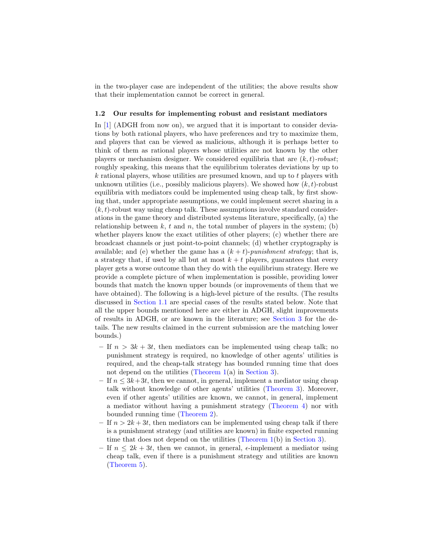in the two-player case are independent of the utilities; the above results show that their implementation cannot be correct in general.

#### <span id="page-3-0"></span>1.2 Our results for implementing robust and resistant mediators

In [\[1\]](#page-16-0) (ADGH from now on), we argued that it is important to consider deviations by both rational players, who have preferences and try to maximize them, and players that can be viewed as malicious, although it is perhaps better to think of them as rational players whose utilities are not known by the other players or mechanism designer. We considered equilibria that are  $(k, t)$ -robust; roughly speaking, this means that the equilibrium tolerates deviations by up to  $k$  rational players, whose utilities are presumed known, and up to  $t$  players with unknown utilities (i.e., possibly malicious players). We showed how  $(k, t)$ -robust equilibria with mediators could be implemented using cheap talk, by first showing that, under appropriate assumptions, we could implement secret sharing in a  $(k, t)$ -robust way using cheap talk. These assumptions involve standard considerations in the game theory and distributed systems literature, specifically, (a) the relationship between k, t and n, the total number of players in the system; (b) whether players know the exact utilities of other players; (c) whether there are broadcast channels or just point-to-point channels; (d) whether cryptography is available; and (e) whether the game has a  $(k + t)$ -punishment strategy; that is, a strategy that, if used by all but at most  $k + t$  players, guarantees that every player gets a worse outcome than they do with the equilibrium strategy. Here we provide a complete picture of when implementation is possible, providing lower bounds that match the known upper bounds (or improvements of them that we have obtained). The following is a high-level picture of the results. (The results discussed in [Section 1.1](#page-1-0) are special cases of the results stated below. Note that all the upper bounds mentioned here are either in ADGH, slight improvements of results in ADGH, or are known in the literature; see [Section 3](#page-9-0) for the details. The new results claimed in the current submission are the matching lower bounds.)

- If  $n > 3k + 3t$ , then mediators can be implemented using cheap talk; no punishment strategy is required, no knowledge of other agents' utilities is required, and the cheap-talk strategy has bounded running time that does not depend on the utilities [\(Theorem 1\(](#page-9-1)a) in [Section 3\)](#page-9-0).
- If  $n \leq 3k+3t$ , then we cannot, in general, implement a mediator using cheap talk without knowledge of other agents' utilities [\(Theorem 3\)](#page-14-1). Moreover, even if other agents' utilities are known, we cannot, in general, implement a mediator without having a punishment strategy [\(Theorem 4\)](#page-14-0) nor with bounded running time [\(Theorem 2\)](#page-11-0).
- If  $n > 2k + 3t$ , then mediators can be implemented using cheap talk if there is a punishment strategy (and utilities are known) in finite expected running time that does not depend on the utilities [\(Theorem 1\(](#page-9-1)b) in [Section 3\)](#page-9-0).
- If  $n \leq 2k + 3t$ , then we cannot, in general,  $\epsilon$ -implement a mediator using cheap talk, even if there is a punishment strategy and utilities are known [\(Theorem 5\)](#page-14-2).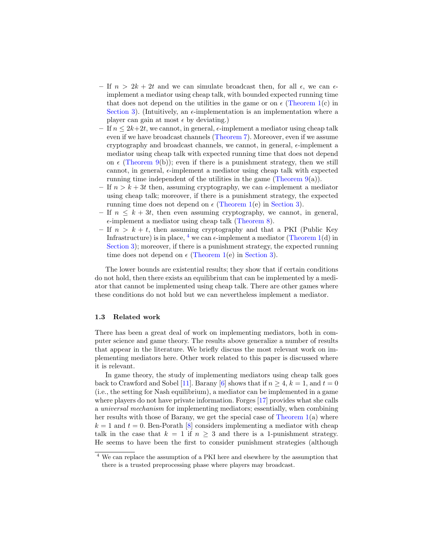- If  $n > 2k + 2t$  and we can simulate broadcast then, for all  $\epsilon$ , we can  $\epsilon$ implement a mediator using cheap talk, with bounded expected running time that does not depend on the utilities in the game or on  $\epsilon$  [\(Theorem 1\(](#page-9-1)c) in [Section 3\)](#page-9-0). (Intuitively, an  $\epsilon$ -implementation is an implementation where a player can gain at most  $\epsilon$  by deviating.)
- If  $n \leq 2k+2t$ , we cannot, in general,  $\epsilon$ -implement a mediator using cheap talk even if we have broadcast channels [\(Theorem 7\)](#page-15-2). Moreover, even if we assume cryptography and broadcast channels, we cannot, in general,  $\epsilon$ -implement a mediator using cheap talk with expected running time that does not depend on  $\epsilon$  [\(Theorem 9\(](#page-15-1)b)); even if there is a punishment strategy, then we still cannot, in general,  $\epsilon$ -implement a mediator using cheap talk with expected running time independent of the utilities in the game (Theorem  $9(a)$ ).
- If  $n > k + 3t$  then, assuming cryptography, we can  $\epsilon$ -implement a mediator using cheap talk; moreover, if there is a punishment strategy, the expected running time does not depend on  $\epsilon$  [\(Theorem 1\(](#page-9-1)e) in [Section 3\)](#page-9-0).
- If  $n \leq k + 3t$ , then even assuming cryptography, we cannot, in general,  $\epsilon$ -implement a mediator using cheap talk [\(Theorem 8\)](#page-15-0).
- If  $n > k + t$ , then assuming cryptography and that a PKI (Public Key Infrastructure) is in place,  $4 \le \text{can } \epsilon$  $4 \le \text{can } \epsilon$ -implement a mediator [\(Theorem 1\(](#page-9-1)d) in [Section 3\)](#page-9-0); moreover, if there is a punishment strategy, the expected running time does not depend on  $\epsilon$  [\(Theorem 1\(](#page-9-1)e) in [Section 3\)](#page-9-0).

The lower bounds are existential results; they show that if certain conditions do not hold, then there exists an equilibrium that can be implemented by a mediator that cannot be implemented using cheap talk. There are other games where these conditions do not hold but we can nevertheless implement a mediator.

### 1.3 Related work

There has been a great deal of work on implementing mediators, both in computer science and game theory. The results above generalize a number of results that appear in the literature. We briefly discuss the most relevant work on implementing mediators here. Other work related to this paper is discussed where it is relevant.

In game theory, the study of implementing mediators using cheap talk goes back to Crawford and Sobel [\[11\]](#page-16-5). Barany [\[6\]](#page-16-2) shows that if  $n \geq 4$ ,  $k = 1$ , and  $t = 0$ (i.e., the setting for Nash equilibrium), a mediator can be implemented in a game where players do not have private information. Forges [\[17\]](#page-17-3) provides what she calls a universal mechanism for implementing mediators; essentially, when combining her results with those of Barany, we get the special case of  $Theorem 1(a)$  $Theorem 1(a)$  where  $k = 1$  and  $t = 0$ . Ben-Porath [\[8\]](#page-16-1) considers implementing a mediator with cheap talk in the case that  $k = 1$  if  $n \geq 3$  and there is a 1-punishment strategy. He seems to have been the first to consider punishment strategies (although

<span id="page-4-0"></span><sup>4</sup> We can replace the assumption of a PKI here and elsewhere by the assumption that there is a trusted preprocessing phase where players may broadcast.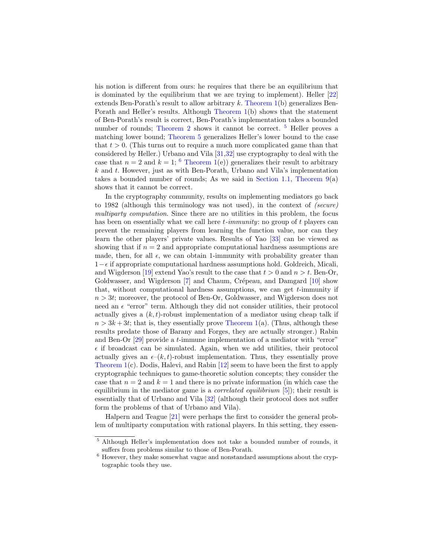his notion is different from ours: he requires that there be an equilibrium that is dominated by the equilibrium that we are trying to implement). Heller [\[22\]](#page-17-8) extends Ben-Porath's result to allow arbitrary  $k$ . [Theorem 1\(](#page-9-1)b) generalizes Ben-Porath and Heller's results. Although [Theorem 1\(](#page-9-1)b) shows that the statement of Ben-Porath's result is correct, Ben-Porath's implementation takes a bounded number of rounds; [Theorem 2](#page-11-0) shows it cannot be correct. <sup>[5](#page-5-0)</sup> Heller proves a matching lower bound; [Theorem 5](#page-14-2) generalizes Heller's lower bound to the case that  $t > 0$ . (This turns out to require a much more complicated game than that considered by Heller.) Urbano and Vila [\[31,](#page-17-6)[32\]](#page-17-7) use cryptography to deal with the case that  $n = 2$  and  $k = 1$ ; <sup>[6](#page-5-1)</sup> [Theorem 1\(](#page-9-1)e)) generalizes their result to arbitrary  $k$  and  $t$ . However, just as with Ben-Porath, Urbano and Vila's implementation takes a bounded number of rounds; As we said in [Section 1.1,](#page-1-0) Theorem  $9(a)$ shows that it cannot be correct.

In the cryptography community, results on implementing mediators go back to 1982 (although this terminology was not used), in the context of (secure) multiparty computation. Since there are no utilities in this problem, the focus has been on essentially what we call here  $t$ -immunity: no group of  $t$  players can prevent the remaining players from learning the function value, nor can they learn the other players' private values. Results of Yao [\[33\]](#page-17-9) can be viewed as showing that if  $n = 2$  and appropriate computational hardness assumptions are made, then, for all  $\epsilon$ , we can obtain 1-immunity with probability greater than  $1-\epsilon$  if appropriate computational hardness assumptions hold. Goldreich, Micali, and Wigderson [\[19\]](#page-17-10) extend Yao's result to the case that  $t > 0$  and  $n > t$ . Ben-Or, Goldwasser, and Wigderson [\[7\]](#page-16-3) and Chaum, Crépeau, and Damgard [\[10\]](#page-16-6) show that, without computational hardness assumptions, we can get  $t$ -immunity if  $n > 3t$ ; moreover, the protocol of Ben-Or, Goldwasser, and Wigderson does not need an  $\epsilon$  "error" term. Although they did not consider utilities, their protocol actually gives a  $(k, t)$ -robust implementation of a mediator using cheap talk if  $n > 3k+3t$ ; that is, they essentially prove [Theorem 1\(](#page-9-1)a). (Thus, although these results predate those of Barany and Forges, they are actually stronger.) Rabin and Ben-Or [\[29\]](#page-17-11) provide a t-immune implementation of a mediator with "error"  $\epsilon$  if broadcast can be simulated. Again, when we add utilities, their protocol actually gives an  $\epsilon$ -(k, t)-robust implementation. Thus, they essentially prove [Theorem 1\(](#page-9-1)c). Dodis, Halevi, and Rabin [\[12\]](#page-16-7) seem to have been the first to apply cryptographic techniques to game-theoretic solution concepts; they consider the case that  $n = 2$  and  $k = 1$  and there is no private information (in which case the equilibrium in the mediator game is a *correlated equilibrium* [\[5\]](#page-16-8)); their result is essentially that of Urbano and Vila [\[32\]](#page-17-7) (although their protocol does not suffer form the problems of that of Urbano and Vila).

Halpern and Teague [\[21\]](#page-17-12) were perhaps the first to consider the general problem of multiparty computation with rational players. In this setting, they essen-

<span id="page-5-0"></span><sup>5</sup> Although Heller's implementation does not take a bounded number of rounds, it suffers from problems similar to those of Ben-Porath.

<span id="page-5-1"></span> $^6$  However, they make somewhat vague and nonstandard assumptions about the cryp-  $\,$ tographic tools they use.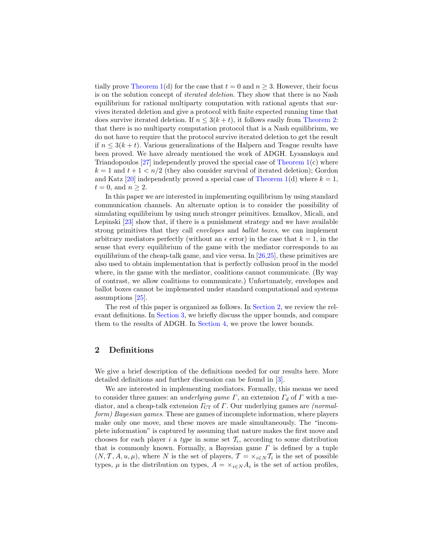tially prove [Theorem 1\(](#page-9-1)d) for the case that  $t = 0$  and  $n \geq 3$ . However, their focus is on the solution concept of *iterated deletion*. They show that there is no Nash equilibrium for rational multiparty computation with rational agents that survives iterated deletion and give a protocol with finite expected running time that does survive iterated deletion. If  $n \leq 3(k+t)$ , it follows easily from [Theorem 2:](#page-11-0) that there is no multiparty computation protocol that is a Nash equilibrium, we do not have to require that the protocol survive iterated deletion to get the result if  $n \leq 3(k+t)$ . Various generalizations of the Halpern and Teague results have been proved. We have already mentioned the work of ADGH. Lysanskaya and Triandopoulos  $[27]$  independently proved the special case of Theorem  $1(c)$  where  $k = 1$  and  $t + 1 < n/2$  (they also consider survival of iterated deletion); Gordon and Katz [\[20\]](#page-17-14) independently proved a special case of [Theorem 1\(](#page-9-1)d) where  $k = 1$ ,  $t = 0$ , and  $n > 2$ .

In this paper we are interested in implementing equilibrium by using standard communication channels. An alternate option is to consider the possibility of simulating equilibrium by using much stronger primitives. Izmalkov, Micali, and Lepinski [\[23\]](#page-17-15) show that, if there is a punishment strategy and we have available strong primitives that they call envelopes and ballot boxes, we can implement arbitrary mediators perfectly (without an  $\epsilon$  error) in the case that  $k = 1$ , in the sense that every equilibrium of the game with the mediator corresponds to an equilibrium of the cheap-talk game, and vice versa. In [\[26,](#page-17-16)[25\]](#page-17-17), these primitives are also used to obtain implementation that is perfectly collusion proof in the model where, in the game with the mediator, coalitions cannot communicate. (By way of contrast, we allow coalitions to communicate.) Unfortunately, envelopes and ballot boxes cannot be implemented under standard computational and systems assumptions [\[25\]](#page-17-17).

The rest of this paper is organized as follows. In [Section 2,](#page-6-0) we review the relevant definitions. In [Section 3,](#page-9-0) we briefly discuss the upper bounds, and compare them to the results of ADGH. In [Section 4,](#page-10-0) we prove the lower bounds.

# <span id="page-6-0"></span>2 Definitions

We give a brief description of the definitions needed for our results here. More detailed definitions and further discussion can be found in [\[3\]](#page-16-9).

We are interested in implementing mediators. Formally, this means we need to consider three games: an *underlying game*  $\Gamma$ , an extension  $\Gamma_d$  of  $\Gamma$  with a mediator, and a cheap-talk extension  $\Gamma_{CT}$  of  $\Gamma$ . Our underlying games are (normalform) Bayesian games. These are games of incomplete information, where players make only one move, and these moves are made simultaneously. The "incomplete information" is captured by assuming that nature makes the first move and chooses for each player i a type in some set  $\mathcal{T}_i$ , according to some distribution that is commonly known. Formally, a Bayesian game  $\Gamma$  is defined by a tuple  $(N, \mathcal{T}, A, u, \mu)$ , where N is the set of players,  $\mathcal{T} = \times_{i \in N} \mathcal{T}_i$  is the set of possible types,  $\mu$  is the distribution on types,  $A = \times_{i \in N} A_i$  is the set of action profiles,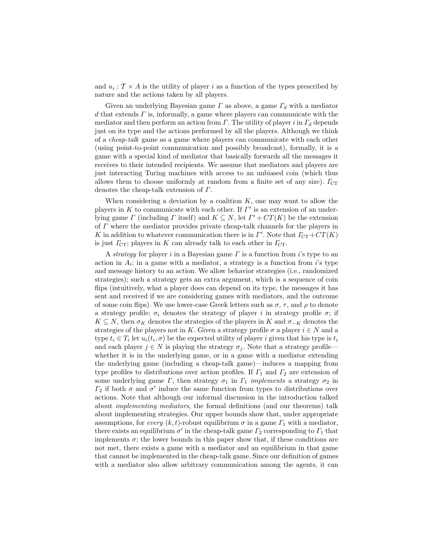and  $u_i: \mathcal{T} \times A$  is the utility of player i as a function of the types prescribed by nature and the actions taken by all players.

Given an underlying Bayesian game  $\Gamma$  as above, a game  $\Gamma_d$  with a mediator  $d$  that extends  $\Gamma$  is, informally, a game where players can communicate with the mediator and then perform an action from  $\Gamma$ . The utility of player i in  $\Gamma_d$  depends just on its type and the actions performed by all the players. Although we think of a cheap-talk game as a game where players can communicate with each other (using point-to-point communication and possibly broadcast), formally, it is a game with a special kind of mediator that basically forwards all the messages it receives to their intended recipients. We assume that mediators and players are just interacting Turing machines with access to an unbiased coin (which thus allows them to choose uniformly at random from a finite set of any size).  $\Gamma_{CT}$ denotes the cheap-talk extension of Γ.

When considering a deviation by a coalition  $K$ , one may want to allow the players in K to communicate with each other. If  $\Gamma'$  is an extension of an underlying game  $\Gamma$  (including  $\Gamma$  itself) and  $K \subseteq N$ , let  $\Gamma' + CT(K)$  be the extension of Γ where the mediator provides private cheap-talk channels for the players in K in addition to whatever communication there is in  $\Gamma'$ . Note that  $\Gamma_{CT} + CT(K)$ is just  $\Gamma_{\text{CT}}$ ; players in K can already talk to each other in  $\Gamma_{\text{CT}}$ .

A strategy for player i in a Bayesian game  $\Gamma$  is a function from i's type to an action in  $A_i$ ; in a game with a mediator, a strategy is a function from i's type and message history to an action. We allow behavior strategies (i.e., randomized strategies); such a strategy gets an extra argument, which is a sequence of coin flips (intuitively, what a player does can depend on its type, the messages it has sent and received if we are considering games with mediators, and the outcome of some coin flips). We use lower-case Greek letters such as  $\sigma$ ,  $\tau$ , and  $\rho$  to denote a strategy profile;  $\sigma_i$  denotes the strategy of player i in strategy profile  $\sigma$ ; if  $K \subseteq N$ , then  $\sigma_K$  denotes the strategies of the players in K and  $\sigma_{-K}$  denotes the strategies of the players not in K. Given a strategy profile  $\sigma$  a player  $i \in N$  and a type  $t_i \in T_i$  let  $u_i(t_i, \sigma)$  be the expected utility of player i given that his type is  $t_i$ and each player  $j \in N$  is playing the strategy  $\sigma_j$ . Note that a strategy profile whether it is in the underlying game, or in a game with a mediator extending the underlying game (including a cheap-talk game)—induces a mapping from type profiles to distributions over action profiles. If  $\Gamma_1$  and  $\Gamma_2$  are extension of some underlying game  $\Gamma$ , then strategy  $\sigma_1$  in  $\Gamma_1$  implements a strategy  $\sigma_2$  in  $\Gamma_2$  if both  $\sigma$  and  $\sigma'$  induce the same function from types to distributions over actions. Note that although our informal discussion in the introduction talked about implementing mediators, the formal definitions (and our theorems) talk about implementing strategies. Our upper bounds show that, under appropriate assumptions, for every  $(k, t)$ -robust equilibrium  $\sigma$  in a game  $\Gamma_1$  with a mediator, there exists an equilibrium  $\sigma'$  in the cheap-talk game  $\Gamma_2$  corresponding to  $\Gamma_1$  that implements  $\sigma$ ; the lower bounds in this paper show that, if these conditions are not met, there exists a game with a mediator and an equilibrium in that game that cannot be implemented in the cheap-talk game. Since our definition of games with a mediator also allow arbitrary communication among the agents, it can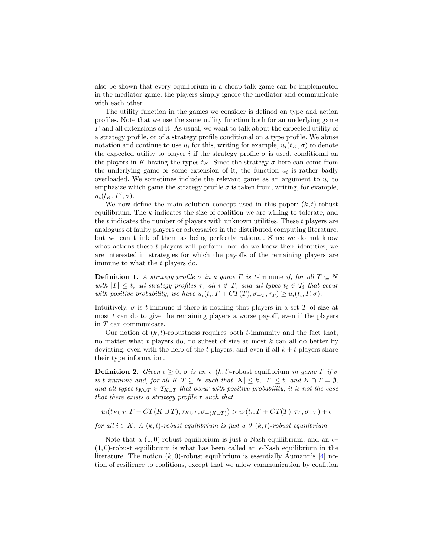also be shown that every equilibrium in a cheap-talk game can be implemented in the mediator game: the players simply ignore the mediator and communicate with each other.

The utility function in the games we consider is defined on type and action profiles. Note that we use the same utility function both for an underlying game  $\Gamma$  and all extensions of it. As usual, we want to talk about the expected utility of a strategy profile, or of a strategy profile conditional on a type profile. We abuse notation and continue to use  $u_i$  for this, writing for example,  $u_i(t_K, \sigma)$  to denote the expected utility to player i if the strategy profile  $\sigma$  is used, conditional on the players in K having the types  $t_K$ . Since the strategy  $\sigma$  here can come from the underlying game or some extension of it, the function  $u_i$  is rather badly overloaded. We sometimes include the relevant game as an argument to  $u_i$  to emphasize which game the strategy profile  $\sigma$  is taken from, writing, for example,  $u_i(t_K, \Gamma', \sigma)$ .

We now define the main solution concept used in this paper:  $(k, t)$ -robust equilibrium. The  $k$  indicates the size of coalition we are willing to tolerate, and the  $t$  indicates the number of players with unknown utilities. These  $t$  players are analogues of faulty players or adversaries in the distributed computing literature, but we can think of them as being perfectly rational. Since we do not know what actions these  $t$  players will perform, nor do we know their identities, we are interested in strategies for which the payoffs of the remaining players are immune to what the t players do.

<span id="page-8-0"></span>**Definition 1.** A strategy profile  $\sigma$  in a game  $\Gamma$  is t-immune if, for all  $T \subset N$ with  $|T| \leq t$ , all strategy profiles  $\tau$ , all  $i \notin T$ , and all types  $t_i \in \mathcal{T}_i$  that occur with positive probability, we have  $u_i(t_i, \Gamma + CT(T), \sigma_{-T}, \tau_T) \geq u_i(t_i, \Gamma, \sigma)$ .

Intuitively,  $\sigma$  is t-immune if there is nothing that players in a set T of size at most  $t$  can do to give the remaining players a worse payoff, even if the players in T can communicate.

Our notion of  $(k, t)$ -robustness requires both t-immunity and the fact that, no matter what  $t$  players do, no subset of size at most  $k$  can all do better by deviating, even with the help of the t players, and even if all  $k + t$  players share their type information.

**Definition 2.** Given  $\epsilon \geq 0$ ,  $\sigma$  is an  $\epsilon$ -(k, t)-robust equilibrium in game  $\Gamma$  if  $\sigma$ is t-immune and, for all  $K, T \subseteq N$  such that  $|K| \leq k$ ,  $|T| \leq t$ , and  $K \cap T = \emptyset$ , and all types  $t_{K\cup T} \in T_{K\cup T}$  that occur with positive probability, it is not the case that there exists a strategy profile  $\tau$  such that

 $u_i(t_{K\cup T}, \Gamma + CT(K\cup T), \tau_{K\cup T}, \sigma_{-(K\cup T)}) > u_i(t_i, \Gamma + CT(T), \tau_T, \sigma_{-T}) + \epsilon$ 

for all  $i \in K$ . A  $(k, t)$ -robust equilibrium is just a  $0-(k, t)$ -robust equilibrium.

Note that a  $(1, 0)$ -robust equilibrium is just a Nash equilibrium, and an  $\epsilon$ - $(1,0)$ -robust equilibrium is what has been called an  $\epsilon$ -Nash equilibrium in the literature. The notion  $(k, 0)$ -robust equilibrium is essentially Aumann's [\[4\]](#page-16-10) notion of resilience to coalitions, except that we allow communication by coalition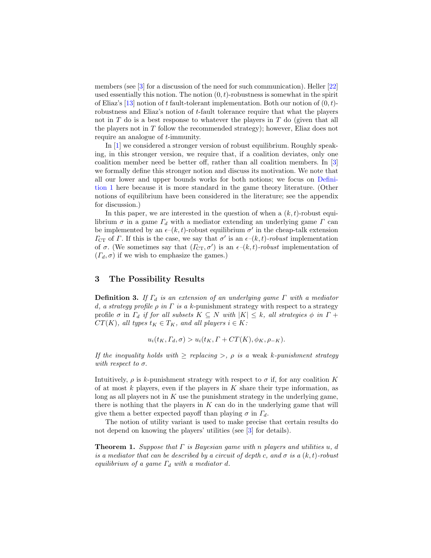members (see  $\begin{bmatrix} 3 \end{bmatrix}$  for a discussion of the need for such communication). Heller  $\begin{bmatrix} 22 \end{bmatrix}$ used essentially this notion. The notion  $(0, t)$ -robustness is somewhat in the spirit of Eliaz's [\[13\]](#page-16-11) notion of t fault-tolerant implementation. Both our notion of  $(0, t)$ robustness and Eliaz's notion of t-fault tolerance require that what the players not in  $T$  do is a best response to whatever the players in  $T$  do (given that all the players not in  $T$  follow the recommended strategy); however, Eliaz does not require an analogue of t-immunity.

In [\[1\]](#page-16-0) we considered a stronger version of robust equilibrium. Roughly speaking, in this stronger version, we require that, if a coalition deviates, only one coalition member need be better off, rather than all coalition members. In [\[3\]](#page-16-9) we formally define this stronger notion and discuss its motivation. We note that all our lower and upper bounds works for both notions; we focus on [Defini](#page-8-0)[tion 1](#page-8-0) here because it is more standard in the game theory literature. (Other notions of equilibrium have been considered in the literature; see the appendix for discussion.)

In this paper, we are interested in the question of when a  $(k, t)$ -robust equilibrium  $\sigma$  in a game  $\Gamma_d$  with a mediator extending an underlying game  $\Gamma$  can be implemented by an  $\epsilon$ -(k, t)-robust equilibrium  $\sigma'$  in the cheap-talk extension  $\Gamma_{\text{CT}}$  of  $\Gamma$ . If this is the case, we say that  $\sigma'$  is an  $\epsilon$ -(k, t)-robust implementation of  $\sigma$ . (We sometimes say that  $(\Gamma_{\text{CT}}, \sigma')$  is an  $\epsilon^{-(k)}$ , t)-robust implementation of  $(\Gamma_d, \sigma)$  if we wish to emphasize the games.)

# <span id="page-9-0"></span>3 The Possibility Results

**Definition 3.** If  $\Gamma_d$  is an extension of an underlying game  $\Gamma$  with a mediator d, a strategy profile  $\rho$  in  $\Gamma$  is a k-punishment strategy with respect to a strategy profile  $\sigma$  in  $\Gamma_d$  if for all subsets  $K \subseteq N$  with  $|K| \leq k$ , all strategies  $\phi$  in  $\Gamma$  +  $CT(K)$ , all types  $t_K \in T_K$ , and all players  $i \in K$ :

$$
u_i(t_K, \Gamma_d, \sigma) > u_i(t_K, \Gamma + CT(K), \phi_K, \rho_{-K}).
$$

If the inequality holds with  $\geq$  replacing  $>$ ,  $\rho$  is a weak k-punishment strategy with respect to  $\sigma$ .

Intuitively,  $\rho$  is k-punishment strategy with respect to  $\sigma$  if, for any coalition K of at most k players, even if the players in K share their type information, as long as all players not in  $K$  use the punishment strategy in the underlying game, there is nothing that the players in  $K$  can do in the underlying game that will give them a better expected payoff than playing  $\sigma$  in  $\Gamma_d$ .

The notion of utility variant is used to make precise that certain results do not depend on knowing the players' utilities (see [\[3\]](#page-16-9) for details).

<span id="page-9-1"></span>**Theorem 1.** Suppose that  $\Gamma$  is Bayesian game with n players and utilities u, d is a mediator that can be described by a circuit of depth c, and  $\sigma$  is a  $(k, t)$ -robust equilibrium of a game  $\Gamma_d$  with a mediator d.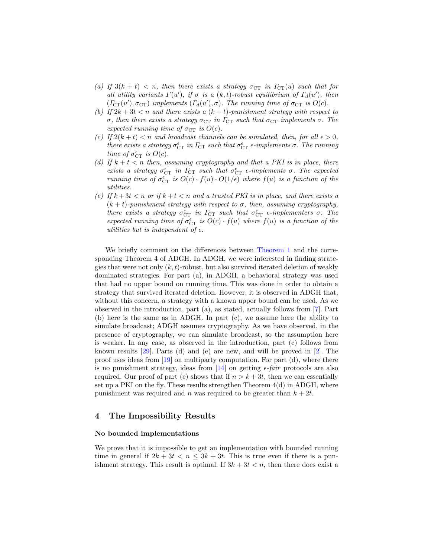- (a) If  $3(k + t) < n$ , then there exists a strategy  $\sigma_{CT}$  in  $\Gamma_{CT}(u)$  such that for all utility variants  $\Gamma(u')$ , if  $\sigma$  is a  $(k, t)$ -robust equilibrium of  $\Gamma_d(u')$ , then  $(T_{\text{CT}}(u'), \sigma_{\text{CT}})$  implements  $(T_d(u'), \sigma)$ . The running time of  $\sigma_{\text{CT}}$  is  $O(c)$ .
- (b) If  $2k + 3t < n$  and there exists a  $(k + t)$ -punishment strategy with respect to σ, then there exists a strategy σ<sub>CT</sub> in  $\Gamma$ <sub>CT</sub> such that σ<sub>CT</sub> implements σ. The expected running time of  $\sigma_{CT}$  is  $O(c)$ .
- (c) If  $2(k+t) < n$  and broadcast channels can be simulated, then, for all  $\epsilon > 0$ , there exists a strategy  $\sigma_{\text{CT}}^{\epsilon}$  in  $\Gamma_{\text{CT}}$  such that  $\sigma_{\text{CT}}^{\epsilon}$   $\epsilon$ -implements  $\sigma$ . The running time of  $\sigma_{\text{CT}}^{\epsilon}$  is  $O(c)$ .
- (d) If  $k + t < n$  then, assuming cryptography and that a PKI is in place, there exists a strategy  $\sigma_{\text{CT}}^{\epsilon}$  in  $\Gamma_{\text{CT}}$  such that  $\sigma_{\text{CT}}^{\epsilon}$  e-implements  $\sigma$ . The expected running time of  $\sigma_{\text{CT}}^{\epsilon}$  is  $O(c) \cdot f(u) \cdot O(1/\epsilon)$  where  $f(u)$  is a function of the utilities.
- (e) If  $k+3t < n$  or if  $k+t < n$  and a trusted PKI is in place, and there exists a  $(k + t)$ -punishment strategy with respect to  $\sigma$ , then, assuming cryptography, there exists a strategy  $\sigma_{\text{CT}}^{\epsilon}$  in  $\Gamma_{\text{CT}}$  such that  $\sigma_{\text{CT}}^{\epsilon}$  e-implementers  $\sigma$ . The expected running time of  $\sigma_{\text{CT}}^{\epsilon}$  is  $O(c) \cdot f(u)$  where  $f(u)$  is a function of the utilities but is independent of  $\epsilon$ .

We briefly comment on the differences between [Theorem 1](#page-9-1) and the corresponding Theorem 4 of ADGH. In ADGH, we were interested in finding strategies that were not only  $(k, t)$ -robust, but also survived iterated deletion of weakly dominated strategies. For part (a), in ADGH, a behavioral strategy was used that had no upper bound on running time. This was done in order to obtain a strategy that survived iterated deletion. However, it is observed in ADGH that, without this concern, a strategy with a known upper bound can be used. As we observed in the introduction, part (a), as stated, actually follows from [\[7\]](#page-16-3). Part (b) here is the same as in ADGH. In part (c), we assume here the ability to simulate broadcast; ADGH assumes cryptography. As we have observed, in the presence of cryptography, we can simulate broadcast, so the assumption here is weaker. In any case, as observed in the introduction, part (c) follows from known results [\[29\]](#page-17-11). Parts (d) and (e) are new, and will be proved in [\[2\]](#page-16-12). The proof uses ideas from  $[19]$  on multiparty computation. For part  $(d)$ , where there is no punishment strategy, ideas from [\[14\]](#page-17-18) on getting  $\epsilon$ -fair protocols are also required. Our proof of part (e) shows that if  $n > k + 3t$ , then we can essentially set up a PKI on the fly. These results strengthen Theorem  $4(d)$  in ADGH, where punishment was required and n was required to be greater than  $k + 2t$ .

## <span id="page-10-0"></span>4 The Impossibility Results

#### No bounded implementations

We prove that it is impossible to get an implementation with bounded running time in general if  $2k + 3t < n \leq 3k + 3t$ . This is true even if there is a punishment strategy. This result is optimal. If  $3k + 3t < n$ , then there does exist a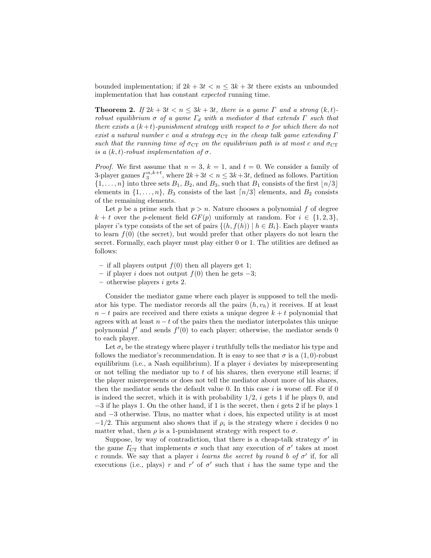bounded implementation; if  $2k + 3t < n \leq 3k + 3t$  there exists an unbounded implementation that has constant expected running time.

<span id="page-11-0"></span>**Theorem 2.** If  $2k + 3t < n \leq 3k + 3t$ , there is a game  $\Gamma$  and a strong  $(k, t)$ robust equilibrium  $\sigma$  of a game  $\Gamma_d$  with a mediator d that extends  $\Gamma$  such that there exists a  $(k+t)$ -punishment strategy with respect to  $\sigma$  for which there do not exist a natural number c and a strategy  $\sigma_{CT}$  in the cheap talk game extending  $\Gamma$ such that the running time of  $\sigma_{CT}$  on the equilibrium path is at most c and  $\sigma_{CT}$ is a  $(k, t)$ -robust implementation of  $\sigma$ .

*Proof.* We first assume that  $n = 3$ ,  $k = 1$ , and  $t = 0$ . We consider a family of 3-player games  $\Gamma_3^{n,k+t}$ , where  $2k+3t < n \leq 3k+3t$ , defined as follows. Partition  $\{1, \ldots, n\}$  into three sets  $B_1, B_2$ , and  $B_3$ , such that  $B_1$  consists of the first  $\lfloor n/3 \rfloor$ elements in  $\{1, \ldots, n\}$ ,  $B_3$  consists of the last  $\lfloor n/3 \rfloor$  elements, and  $B_2$  consists of the remaining elements.

Let p be a prime such that  $p > n$ . Nature chooses a polynomial f of degree  $k + t$  over the p-element field  $GF(p)$  uniformly at random. For  $i \in \{1,2,3\}$ , player i's type consists of the set of pairs  $\{(h, f(h)) \mid h \in B_i\}$ . Each player wants to learn  $f(0)$  (the secret), but would prefer that other players do not learn the secret. Formally, each player must play either 0 or 1. The utilities are defined as follows:

- if all players output  $f(0)$  then all players get 1;
- if player i does not output  $f(0)$  then he gets –3;
- $-$  otherwise players i gets 2.

Consider the mediator game where each player is supposed to tell the mediator his type. The mediator records all the pairs  $(h, v_h)$  it receives. If at least  $n - t$  pairs are received and there exists a unique degree  $k + t$  polynomial that agrees with at least  $n - t$  of the pairs then the mediator interpolates this unique polynomial  $f'$  and sends  $f'(0)$  to each player; otherwise, the mediator sends 0 to each player.

Let  $\sigma_i$  be the strategy where player i truthfully tells the mediator his type and follows the mediator's recommendation. It is easy to see that  $\sigma$  is a (1,0)-robust equilibrium (i.e., a Nash equilibrium). If a player  $i$  deviates by misrepresenting or not telling the mediator up to  $t$  of his shares, then everyone still learns; if the player misrepresents or does not tell the mediator about more of his shares, then the mediator sends the default value 0. In this case  $i$  is worse off. For if 0 is indeed the secret, which it is with probability  $1/2$ , i gets 1 if he plays 0, and  $-3$  if he plays 1. On the other hand, if 1 is the secret, then i gets 2 if he plays 1 and  $-3$  otherwise. Thus, no matter what i does, his expected utility is at most  $-1/2$ . This argument also shows that if  $\rho_i$  is the strategy where i decides 0 no matter what, then  $\rho$  is a 1-punishment strategy with respect to  $\sigma$ .

Suppose, by way of contradiction, that there is a cheap-talk strategy  $\sigma'$  in the game  $\Gamma_{\text{CT}}$  that implements  $\sigma$  such that any execution of  $\sigma'$  takes at most c rounds. We say that a player *i learns the secret by round b of*  $\sigma'$  if, for all executions (i.e., plays) r and r' of  $\sigma'$  such that i has the same type and the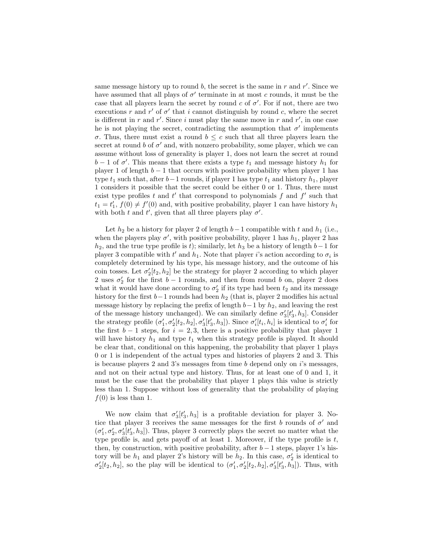same message history up to round  $b$ , the secret is the same in  $r$  and  $r'$ . Since we have assumed that all plays of  $\sigma'$  terminate in at most c rounds, it must be the case that all players learn the secret by round  $c$  of  $\sigma'$ . For if not, there are two executions r and r' of  $\sigma'$  that i cannot distinguish by round c, where the secret is different in r and r'. Since i must play the same move in r and r', in one case he is not playing the secret, contradicting the assumption that  $\sigma'$  implements σ. Thus, there must exist a round  $b \leq c$  such that all three players learn the secret at round b of  $\sigma'$  and, with nonzero probability, some player, which we can assume without loss of generality is player 1, does not learn the secret at round  $b-1$  of  $\sigma'$ . This means that there exists a type  $t_1$  and message history  $h_1$  for player 1 of length  $b-1$  that occurs with positive probability when player 1 has type  $t_1$  such that, after  $b-1$  rounds, if player 1 has type  $t_1$  and history  $h_1$ , player 1 considers it possible that the secret could be either 0 or 1. Thus, there must exist type profiles t and  $t'$  that correspond to polynomials f and  $f'$  such that  $t_1 = t_1', f(0) \neq f'(0)$  and, with positive probability, player 1 can have history  $h_1$ with both t and t', given that all three players play  $\sigma'$ .

Let  $h_2$  be a history for player 2 of length  $b-1$  compatible with t and  $h_1$  (i.e., when the players play  $\sigma'$ , with positive probability, player 1 has  $h_1$ , player 2 has  $h_2$ , and the true type profile is t); similarly, let  $h_3$  be a history of length  $b-1$  for player 3 compatible with  $t'$  and  $h_1$ . Note that player i's action according to  $\sigma_i$  is completely determined by his type, his message history, and the outcome of his coin tosses. Let  $\sigma_2'[t_2, h_2]$  be the strategy for player 2 according to which player 2 uses  $\sigma'_2$  for the first  $b-1$  rounds, and then from round b on, player 2 does what it would have done according to  $\sigma'_2$  if its type had been  $t_2$  and its message history for the first  $b-1$  rounds had been  $h_2$  (that is, player 2 modifies his actual message history by replacing the prefix of length  $b-1$  by  $h_2$ , and leaving the rest of the message history unchanged). We can similarly define  $\sigma'_3[t'_3, h_3]$ . Consider the strategy profile  $(\sigma'_1, \sigma'_2[t_2, h_2], \sigma'_3[t'_3, h_3])$ . Since  $\sigma'_i[t_i, h_i]$  is identical to  $\sigma'_i$  for the first  $b - 1$  steps, for  $i = 2, 3$ , there is a positive probability that player 1 will have history  $h_1$  and type  $t_1$  when this strategy profile is played. It should be clear that, conditional on this happening, the probability that player 1 plays 0 or 1 is independent of the actual types and histories of players 2 and 3. This is because players 2 and 3's messages from time b depend only on i's messages, and not on their actual type and history. Thus, for at least one of 0 and 1, it must be the case that the probability that player 1 plays this value is strictly less than 1. Suppose without loss of generality that the probability of playing  $f(0)$  is less than 1.

We now claim that  $\sigma'_3[t'_3, h_3]$  is a profitable deviation for player 3. Notice that player 3 receives the same messages for the first b rounds of  $\sigma'$  and  $(\sigma'_1, \sigma'_2, \sigma'_3[t'_3, h_3])$ . Thus, player 3 correctly plays the secret no matter what the type profile is, and gets payoff of at least 1. Moreover, if the type profile is  $t$ , then, by construction, with positive probability, after  $b-1$  steps, player 1's history will be  $h_1$  and player 2's history will be  $h_2$ . In this case,  $\sigma'_2$  is identical to  $\sigma'_2[t_2, h_2]$ , so the play will be identical to  $(\sigma'_1, \sigma'_2[t_2, h_2], \sigma'_3[t'_3, h_3])$ . Thus, with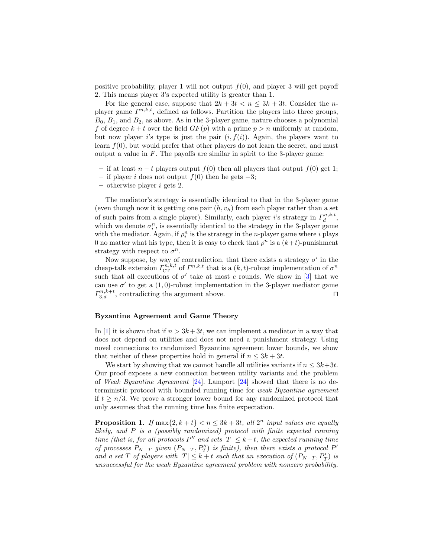positive probability, player 1 will not output  $f(0)$ , and player 3 will get payoff 2. This means player 3's expected utility is greater than 1.

For the general case, suppose that  $2k + 3t < n \leq 3k + 3t$ . Consider the *n*player game  $\Gamma^{n,k,t}$ , defined as follows. Partition the players into three groups,  $B_0, B_1$ , and  $B_2$ , as above. As in the 3-player game, nature chooses a polynomial f of degree  $k + t$  over the field  $GF(p)$  with a prime  $p > n$  uniformly at random, but now player is type is just the pair  $(i, f(i))$ . Again, the players want to learn  $f(0)$ , but would prefer that other players do not learn the secret, and must output a value in  $F$ . The payoffs are similar in spirit to the 3-player game:

- if at least  $n t$  players output  $f(0)$  then all players that output  $f(0)$  get 1;
- if player *i* does not output  $f(0)$  then he gets −3;
- otherwise player  $i$  gets 2.

The mediator's strategy is essentially identical to that in the 3-player game (even though now it is getting one pair  $(h, v_h)$  from each player rather than a set of such pairs from a single player). Similarly, each player *i*'s strategy in  $\Gamma_d^{n,k,t}$ , which we denote  $\sigma_i^n$ , is essentially identical to the strategy in the 3-player game with the mediator. Again, if  $\rho_i^n$  is the strategy in the *n*-player game where *i* plays 0 no matter what his type, then it is easy to check that  $\rho^n$  is a  $(k+t)$ -punishment strategy with respect to  $\sigma^n$ .

Now suppose, by way of contradiction, that there exists a strategy  $\sigma'$  in the cheap-talk extension  $\Gamma^{n,k,t}_{\text{CT}}$  of  $\Gamma^{n,k,t}$  that is a  $(k,t)$ -robust implementation of  $\sigma^n$ such that all executions of  $\sigma'$  take at most c rounds. We show in [\[3\]](#page-16-9) that we can use  $\sigma'$  to get a (1,0)-robust implementation in the 3-player mediator game  $\Gamma_{3,d}^{n,k+t}$ , contradicting the argument above.

#### Byzantine Agreement and Game Theory

In [\[1\]](#page-16-0) it is shown that if  $n > 3k+3t$ , we can implement a mediator in a way that does not depend on utilities and does not need a punishment strategy. Using novel connections to randomized Byzantine agreement lower bounds, we show that neither of these properties hold in general if  $n \leq 3k + 3t$ .

We start by showing that we cannot handle all utilities variants if  $n \leq 3k+3t$ . Our proof exposes a new connection between utility variants and the problem of Weak Byzantine Agreement  $[24]$ . Lamport  $[24]$  showed that there is no deterministic protocol with bounded running time for weak Byzantine agreement if  $t \geq n/3$ . We prove a stronger lower bound for any randomized protocol that only assumes that the running time has finite expectation.

**Proposition 1.** If  $\max\{2, k+t\} < n \leq 3k+3t$ , all  $2^n$  input values are equally likely, and P is a (possibly randomized) protocol with finite expected running time (that is, for all protocols P'' and sets  $|T| \leq k+t$ , the expected running time of processes  $P_{N-T}$  given  $(P_{N-T}, P_T'')$  is finite), then there exists a protocol P' and a set T of players with  $|T| \leq k + t$  such that an execution of  $(P_{N-T}, P'_T)$  is unsuccessful for the weak Byzantine agreement problem with nonzero probability.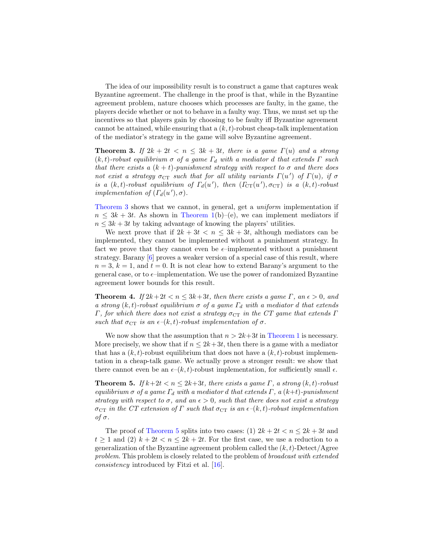The idea of our impossibility result is to construct a game that captures weak Byzantine agreement. The challenge in the proof is that, while in the Byzantine agreement problem, nature chooses which processes are faulty, in the game, the players decide whether or not to behave in a faulty way. Thus, we must set up the incentives so that players gain by choosing to be faulty iff Byzantine agreement cannot be attained, while ensuring that a  $(k, t)$ -robust cheap-talk implementation of the mediator's strategy in the game will solve Byzantine agreement.

<span id="page-14-1"></span>**Theorem 3.** If  $2k + 2t < n \leq 3k + 3t$ , there is a game  $\Gamma(u)$  and a strong  $(k, t)$ -robust equilibrium  $\sigma$  of a game  $\Gamma_d$  with a mediator d that extends  $\Gamma$  such that there exists a  $(k + t)$ -punishment strategy with respect to  $\sigma$  and there does not exist a strategy  $\sigma_{\text{CT}}$  such that for all utility variants  $\Gamma(u')$  of  $\Gamma(u)$ , if  $\sigma$ is a  $(k, t)$ -robust equilibrium of  $\Gamma_d(u')$ , then  $(\Gamma_{\text{CT}}(u'), \sigma_{\text{CT}})$  is a  $(k, t)$ -robust implementation of  $(\Gamma_d(u'), \sigma)$ .

[Theorem 3](#page-14-1) shows that we cannot, in general, get a uniform implementation if  $n \leq 3k + 3t$ . As shown in [Theorem 1\(](#page-9-1)b)–(e), we can implement mediators if  $n \leq 3k + 3t$  by taking advantage of knowing the players' utilities.

We next prove that if  $2k + 3t < n \leq 3k + 3t$ , although mediators can be implemented, they cannot be implemented without a punishment strategy. In fact we prove that they cannot even be  $\epsilon$ -implemented without a punishment strategy. Barany [\[6\]](#page-16-2) proves a weaker version of a special case of this result, where  $n = 3$ ,  $k = 1$ , and  $t = 0$ . It is not clear how to extend Barany's argument to the general case, or to  $\epsilon$ -implementation. We use the power of randomized Byzantine agreement lower bounds for this result.

<span id="page-14-0"></span>**Theorem 4.** If  $2k+2t < n \leq 3k+3t$ , then there exists a game  $\Gamma$ , an  $\epsilon > 0$ , and a strong  $(k, t)$ -robust equilibrium  $\sigma$  of a game  $\Gamma_d$  with a mediator d that extends Γ, for which there does not exist a strategy  $\sigma$ <sub>CT</sub> in the CT game that extends Γ such that  $\sigma_{CT}$  is an  $\epsilon$ -(k, t)-robust implementation of  $\sigma$ .

We now show that the assumption that  $n > 2k+3t$  in [Theorem 1](#page-9-1) is necessary. More precisely, we show that if  $n \leq 2k+3t$ , then there is a game with a mediator that has a  $(k, t)$ -robust equilibrium that does not have a  $(k, t)$ -robust implementation in a cheap-talk game. We actually prove a stronger result: we show that there cannot even be an  $\epsilon$ -(k, t)-robust implementation, for sufficiently small  $\epsilon$ .

<span id="page-14-2"></span>**Theorem 5.** If  $k+2t < n \leq 2k+3t$ , there exists a game  $\Gamma$ , a strong  $(k, t)$ -robust equilibrium  $\sigma$  of a game  $\Gamma_d$  with a mediator d that extends  $\Gamma$ , a  $(k+t)$ -punishment strategy with respect to  $\sigma$ , and an  $\epsilon > 0$ , such that there does not exist a strategy  $\sigma_{\text{CT}}$  in the CT extension of  $\Gamma$  such that  $\sigma_{\text{CT}}$  is an  $\epsilon$ -(k, t)-robust implementation of σ.

The proof of [Theorem 5](#page-14-2) splits into two cases: (1)  $2k + 2t < n < 2k + 3t$  and  $t \geq 1$  and (2)  $k + 2t < n \leq 2k + 2t$ . For the first case, we use a reduction to a generalization of the Byzantine agreement problem called the  $(k, t)$ -Detect/Agree problem. This problem is closely related to the problem of broadcast with extended consistency introduced by Fitzi et al. [\[16\]](#page-17-5).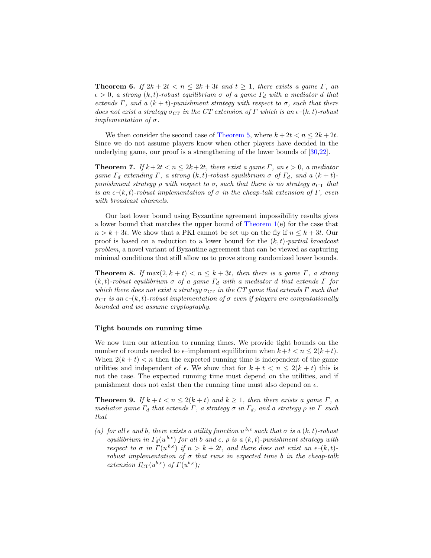**Theorem 6.** If  $2k + 2t < n \leq 2k + 3t$  and  $t \geq 1$ , there exists a game  $\Gamma$ , an  $\epsilon > 0$ , a strong  $(k, t)$ -robust equilibrium  $\sigma$  of a game  $\Gamma_d$  with a mediator d that extends  $\Gamma$ , and a  $(k + t)$ -punishment strategy with respect to  $\sigma$ , such that there does not exist a strategy  $\sigma_{CT}$  in the CT extension of  $\Gamma$  which is an  $\epsilon$ -(k, t)-robust *implementation of*  $\sigma$ *.* 

We then consider the second case of [Theorem 5,](#page-14-2) where  $k + 2t < n \leq 2k + 2t$ . Since we do not assume players know when other players have decided in the underlying game, our proof is a strengthening of the lower bounds of [\[30,](#page-17-19)[22\]](#page-17-8).

<span id="page-15-2"></span>**Theorem 7.** If  $k+2t < n \leq 2k+2t$ , there exist a game  $\Gamma$ , an  $\epsilon > 0$ , a mediator game  $\Gamma_d$  extending  $\Gamma$ , a strong  $(k, t)$ -robust equilibrium  $\sigma$  of  $\Gamma_d$ , and a  $(k + t)$ punishment strategy  $\rho$  with respect to  $\sigma$ , such that there is no strategy  $\sigma_{CT}$  that is an  $\epsilon$ -(k, t)-robust implementation of  $\sigma$  in the cheap-talk extension of  $\Gamma$ , even with broadcast channels.

Our last lower bound using Byzantine agreement impossibility results gives a lower bound that matches the upper bound of  $Theorem 1(e)$  $Theorem 1(e)$  for the case that  $n > k + 3t$ . We show that a PKI cannot be set up on the fly if  $n \leq k + 3t$ . Our proof is based on a reduction to a lower bound for the  $(k, t)$ -partial broadcast problem, a novel variant of Byzantine agreement that can be viewed as capturing minimal conditions that still allow us to prove strong randomized lower bounds.

<span id="page-15-0"></span>**Theorem 8.** If  $\max(2, k + t) < n \leq k + 3t$ , then there is a game  $\Gamma$ , a strong  $(k, t)$ -robust equilibrium  $\sigma$  of a game  $\Gamma_d$  with a mediator d that extends  $\Gamma$  for which there does not exist a strategy  $\sigma_{CT}$  in the CT game that extends  $\Gamma$  such that  $\sigma_{\text{CT}}$  is an  $\epsilon$ -(k, t)-robust implementation of  $\sigma$  even if players are computationally bounded and we assume cryptography.

## Tight bounds on running time

We now turn our attention to running times. We provide tight bounds on the number of rounds needed to  $\epsilon$ -implement equilibrium when  $k + t < n \leq 2(k + t)$ . When  $2(k + t) < n$  then the expected running time is independent of the game utilities and independent of  $\epsilon$ . We show that for  $k + t < n \leq 2(k + t)$  this is not the case. The expected running time must depend on the utilities, and if punishment does not exist then the running time must also depend on  $\epsilon$ .

<span id="page-15-1"></span>**Theorem 9.** If  $k + t < n \leq 2(k + t)$  and  $k \geq 1$ , then there exists a game  $\Gamma$ , a mediator game  $\Gamma_d$  that extends  $\Gamma$ , a strategy  $\sigma$  in  $\Gamma_d$ , and a strategy  $\rho$  in  $\Gamma$  such that

(a) for all  $\epsilon$  and b, there exists a utility function  $u^{b,\epsilon}$  such that  $\sigma$  is a  $(k, t)$ -robust equilibrium in  $\Gamma_d(u^{b,\epsilon})$  for all b and  $\epsilon$ ,  $\rho$  is a  $(k,t)$ -punishment strategy with respect to  $\sigma$  in  $\Gamma(u^{b,\epsilon})$  if  $n > k+2t$ , and there does not exist an  $\epsilon$ -(k, t)robust implementation of  $\sigma$  that runs in expected time b in the cheap-talk extension  $\Gamma_{\text{CT}}(u^{b,\epsilon})$  of  $\Gamma(u^{b,\epsilon})$ ;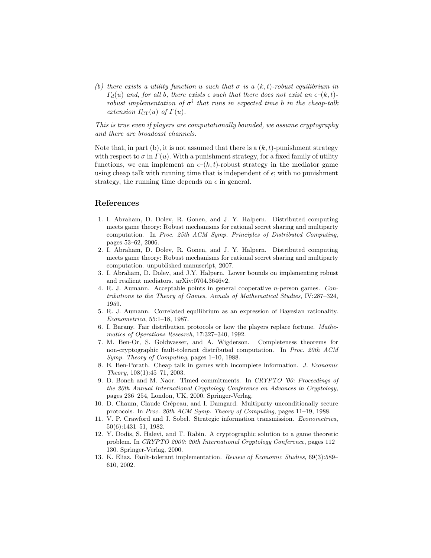(b) there exists a utility function u such that  $\sigma$  is a  $(k, t)$ -robust equilibrium in  $\Gamma_d(u)$  and, for all b, there exists  $\epsilon$  such that there does not exist an  $\epsilon^{-(k, t)}$ . robust implementation of  $\sigma^i$  that runs in expected time b in the cheap-talk extension  $\Gamma_{\text{CT}}(u)$  of  $\Gamma(u)$ .

This is true even if players are computationally bounded, we assume cryptography and there are broadcast channels.

Note that, in part (b), it is not assumed that there is a  $(k, t)$ -punishment strategy with respect to  $\sigma$  in  $\Gamma(u)$ . With a punishment strategy, for a fixed family of utility functions, we can implement an  $\epsilon^{-(k, t)}$ -robust strategy in the mediator game using cheap talk with running time that is independent of  $\epsilon$ ; with no punishment strategy, the running time depends on  $\epsilon$  in general.

# References

- <span id="page-16-0"></span>1. I. Abraham, D. Dolev, R. Gonen, and J. Y. Halpern. Distributed computing meets game theory: Robust mechanisms for rational secret sharing and multiparty computation. In Proc. 25th ACM Symp. Principles of Distributed Computing, pages 53–62, 2006.
- <span id="page-16-12"></span>2. I. Abraham, D. Dolev, R. Gonen, and J. Y. Halpern. Distributed computing meets game theory: Robust mechanisms for rational secret sharing and multiparty computation. unpublished manuscript, 2007.
- <span id="page-16-9"></span>3. I. Abraham, D. Dolev, and J.Y. Halpern. Lower bounds on implementing robust and resilient mediators. arXiv:0704.3646v2.
- <span id="page-16-10"></span>4. R. J. Aumann. Acceptable points in general cooperative n-person games. Contributions to the Theory of Games, Annals of Mathematical Studies, IV:287–324, 1959.
- <span id="page-16-8"></span>5. R. J. Aumann. Correlated equilibrium as an expression of Bayesian rationality. Econometrica, 55:1–18, 1987.
- <span id="page-16-2"></span>6. I. Barany. Fair distribution protocols or how the players replace fortune. Mathematics of Operations Research, 17:327–340, 1992.
- <span id="page-16-3"></span>7. M. Ben-Or, S. Goldwasser, and A. Wigderson. Completeness theorems for non-cryptographic fault-tolerant distributed computation. In Proc. 20th ACM Symp. Theory of Computing, pages 1–10, 1988.
- <span id="page-16-1"></span>8. E. Ben-Porath. Cheap talk in games with incomplete information. J. Economic Theory, 108(1):45–71, 2003.
- <span id="page-16-4"></span>9. D. Boneh and M. Naor. Timed commitments. In CRYPTO '00: Proceedings of the 20th Annual International Cryptology Conference on Advances in Cryptology, pages 236–254, London, UK, 2000. Springer-Verlag.
- <span id="page-16-6"></span>10. D. Chaum, Claude Crépeau, and I. Damgard. Multiparty unconditionally secure protocols. In Proc. 20th ACM Symp. Theory of Computing, pages 11–19, 1988.
- <span id="page-16-5"></span>11. V. P. Crawford and J. Sobel. Strategic information transmission. Econometrica, 50(6):1431–51, 1982.
- <span id="page-16-7"></span>12. Y. Dodis, S. Halevi, and T. Rabin. A cryptographic solution to a game theoretic problem. In CRYPTO 2000: 20th International Cryptology Conference, pages 112– 130. Springer-Verlag, 2000.
- <span id="page-16-11"></span>13. K. Eliaz. Fault-tolerant implementation. Review of Economic Studies, 69(3):589– 610, 2002.